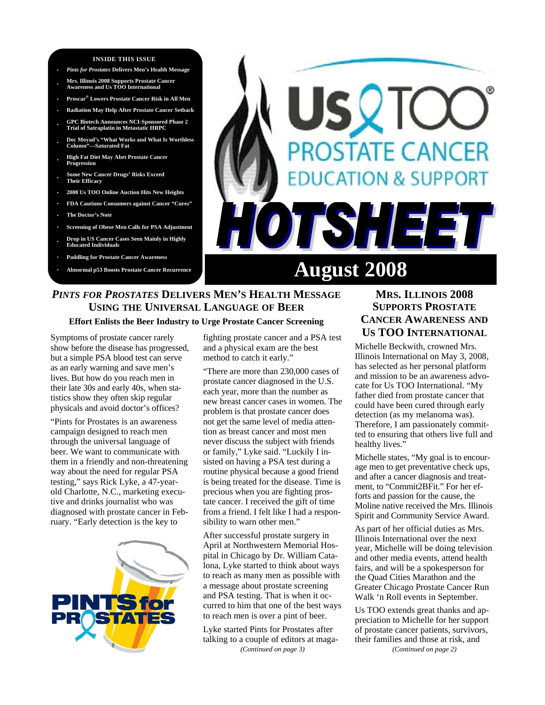#### **INSIDE THIS ISSUE**

- **·** *Pints for Prostates* **Delivers Men's Health Message · Mrs. Illinois 2008 Supports Prostate Cancer Awareness and Us TOO International**
- 
- **· Proscar® Lowers Prostate Cancer Risk in All Men · Radiation May Help After Prostate Cancer Setback**
- **· GPC Biotech Announces NCI-Sponsored Phase 2 Trial of Satraplatin in Metastatic HRPC**
- **· Doc Moyad's "What Works and What Is Worthless Column"—Saturated Fat**
- **· High Fat Diet May Abet Prostate Cancer Progression**
- **· Some New Cancer Drugs' Risks Exceed Their Efficacy**
- **· 2008 Us TOO Online Auction Hits New Heights**
- **· FDA Cautions Consumers against Cancer "Cures"**
- **· The Doctor's Note**
- **· Screening of Obese Men Calls for PSA Adjustment**
- **· Drop in US Cancer Cases Seen Mainly in Highly Educated Individuals**
- **· Paddling for Prostate Cancer Awareness**
- 

# **ROSTATE CANCER ION & SUPPORT** TSH 33 Abnormal p53 Boosts Prostate Cancer Recurrence **August 2008**

# *PINTS FOR PROSTATES* **DELIVERS MEN'S HEALTH MESSAGE USING THE UNIVERSAL LANGUAGE OF BEER**

#### **Effort Enlists the Beer Industry to Urge Prostate Cancer Screening**

Symptoms of prostate cancer rarely show before the disease has progressed, but a simple PSA blood test can serve as an early warning and save men's lives. But how do you reach men in their late 30s and early 40s, when statistics show they often skip regular physicals and avoid doctor's offices?

"Pints for Prostates is an awareness campaign designed to reach men through the universal language of beer. We want to communicate with them in a friendly and non-threatening way about the need for regular PSA testing," says Rick Lyke, a 47-yearold Charlotte, N.C., marketing executive and drinks journalist who was diagnosed with prostate cancer in February. "Early detection is the key to



fighting prostate cancer and a PSA test and a physical exam are the best method to catch it early."

"There are more than 230,000 cases of prostate cancer diagnosed in the U.S. each year, more than the number as new breast cancer cases in women. The problem is that prostate cancer does not get the same level of media attention as breast cancer and most men never discuss the subject with friends or family," Lyke said. "Luckily I insisted on having a PSA test during a routine physical because a good friend is being treated for the disease. Time is precious when you are fighting prostate cancer. I received the gift of time from a friend. I felt like I had a responsibility to warn other men."

After successful prostate surgery in April at Northwestern Memorial Hospital in Chicago by Dr. William Catalona, Lyke started to think about ways to reach as many men as possible with a message about prostate screening and PSA testing. That is when it occurred to him that one of the best ways to reach men is over a pint of beer.

Lyke started Pints for Prostates after talking to a couple of editors at maga- *(Continued on page 3)* 

# **MRS. ILLINOIS 2008 SUPPORTS PROSTATE CANCER AWARENESS AND US TOO INTERNATIONAL**

Michelle Beckwith, crowned Mrs. Illinois International on May 3, 2008, has selected as her personal platform and mission to be an awareness advocate for Us TOO International. "My father died from prostate cancer that could have been cured through early detection (as my melanoma was). Therefore, I am passionately committed to ensuring that others live full and healthy lives."

Michelle states, "My goal is to encourage men to get preventative check ups, and after a cancer diagnosis and treatment, to "Commit2BFit." For her efforts and passion for the cause, the Moline native received the Mrs. Illinois Spirit and Community Service Award.

As part of her official duties as Mrs. Illinois International over the next year, Michelle will be doing television and other media events, attend health fairs, and will be a spokesperson for the Quad Cities Marathon and the Greater Chicago Prostate Cancer Run Walk 'n Roll events in September.

Us TOO extends great thanks and appreciation to Michelle for her support of prostate cancer patients, survivors, their families and those at risk, and

*(Continued on page 2)*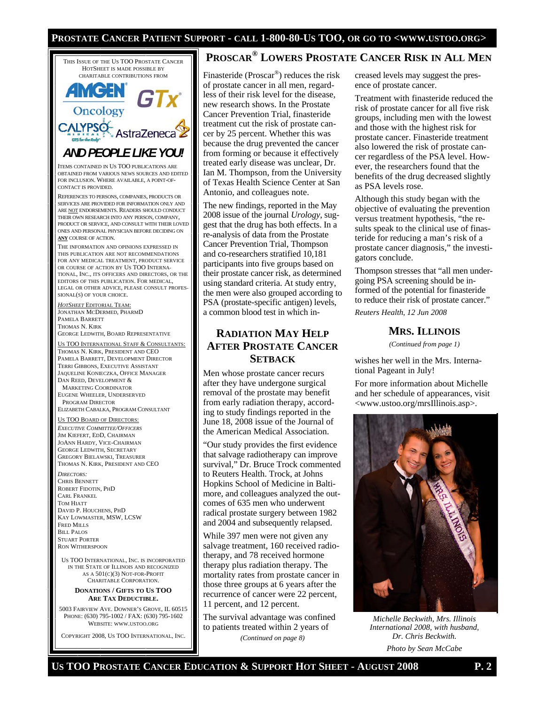## **PROSTATE CANCER PATIENT SUPPORT - CALL 1-800-80-US TOO, OR GO TO <WWW.USTOO.ORG>**



THEIR OWN RESEARCH INTO ANY PERSON, COMPANY, PRODUCT OR SERVICE, AND CONSULT WITH THEIR LOVED ONES AND PERSONAL PHYSICIAN BEFORE DECIDING ON **ANY** COURSE OF ACTION.

THE INFORMATION AND OPINIONS EXPRESSED IN THIS PUBLICATION ARE NOT RECOMMENDATIONS FOR ANY MEDICAL TREATMENT, PRODUCT SERVICE OR COURSE OF ACTION BY US TOO INTERNA-TIONAL, INC., ITS OFFICERS AND DIRECTORS, OR THE EDITORS OF THIS PUBLICATION. FOR MEDICAL, LEGAL OR OTHER ADVICE, PLEASE CONSULT PROFES-SIONAL(S) OF YOUR CHOICE.

*HOTSHEET* EDITORIAL TEAM: JONATHAN MCDERMED, PHARMD PAMELA BARRETT THOMAS N. KIRK GEORGE LEDWITH, BOARD REPRESENTATIVE

US TOO INTERNATIONAL STAFF & CONSULTANTS: THOMAS N. KIRK, PRESIDENT AND CEO PAMELA BARRETT, DEVELOPMENT DIRECTOR TERRI GIBBONS, EXECUTIVE ASSISTANT JAQUELINE KONIECZKA, OFFICE MANAGER DAN REED, DEVELOPMENT & MARKETING COORDINATOR EUGENE WHEELER, UNDERSERVED PROGRAM DIRECTOR ELIZABETH CABALKA, PROGRAM CONSULTANT

US TOO BOARD OF DIRECTORS: *EXECUTIVE COMMITTEE/OFFICERS* JIM KIEFERT, EDD, CHAIRMAN JOANN HARDY, VICE-CHAIRMAN GEORGE LEDWITH, SECRETARY GREGORY BIELAWSKI, TREASURER THOMAS N. KIRK, PRESIDENT AND CEO

*DIRECTORS:*  CHRIS BENNETT ROBERT FIDOTIN, PHD CARL FRANKEL TOM HIATT DAVID P. HOUCHENS, PHD KAY LOWMASTER, MSW, LCSW FRED MILLS **BILL PALOS** STUART PORTER RON WITHERSPOON

US TOO INTERNATIONAL, INC. IS INCORPORATED IN THE STATE OF ILLINOIS AND RECOGNIZED AS A 501(C)(3) NOT-FOR-PROFIT CHARITABLE CORPORATION.

#### **DONATIONS / GIFTS TO US TOO ARE TAX DEDUCTIBLE.**

5003 FAIRVIEW AVE. DOWNER'S GROVE, IL 60515 PHONE: (630) 795-1002 / FAX: (630) 795-1602 WEBSITE: WWW.USTOO.ORG

COPYRIGHT 2008, US TOO INTERNATIONAL, INC.

# **PROSCAR® LOWERS PROSTATE CANCER RISK IN ALL MEN**

Finasteride (Proscar®) reduces the risk of prostate cancer in all men, regardless of their risk level for the disease, new research shows. In the Prostate Cancer Prevention Trial, finasteride treatment cut the risk of prostate cancer by 25 percent. Whether this was because the drug prevented the cancer from forming or because it effectively treated early disease was unclear, Dr. Ian M. Thompson, from the University of Texas Health Science Center at San Antonio, and colleagues note.

The new findings, reported in the May 2008 issue of the journal *Urology*, suggest that the drug has both effects. In a re-analysis of data from the Prostate Cancer Prevention Trial, Thompson and co-researchers stratified 10,181 participants into five groups based on their prostate cancer risk, as determined using standard criteria. At study entry, the men were also grouped according to PSA (prostate-specific antigen) levels, a common blood test in which in-

# **RADIATION MAY HELP AFTER PROSTATE CANCER SETBACK**

Men whose prostate cancer recurs after they have undergone surgical removal of the prostate may benefit from early radiation therapy, according to study findings reported in the June 18, 2008 issue of the Journal of the American Medical Association.

"Our study provides the first evidence that salvage radiotherapy can improve survival," Dr. Bruce Trock commented to Reuters Health. Trock, at Johns Hopkins School of Medicine in Baltimore, and colleagues analyzed the outcomes of 635 men who underwent radical prostate surgery between 1982 and 2004 and subsequently relapsed.

While 397 men were not given any salvage treatment, 160 received radiotherapy, and 78 received hormone therapy plus radiation therapy. The mortality rates from prostate cancer in those three groups at 6 years after the recurrence of cancer were 22 percent, 11 percent, and 12 percent.

The survival advantage was confined to patients treated within 2 years of *(Continued on page 8)* 

creased levels may suggest the presence of prostate cancer.

Treatment with finasteride reduced the risk of prostate cancer for all five risk groups, including men with the lowest and those with the highest risk for prostate cancer. Finasteride treatment also lowered the risk of prostate cancer regardless of the PSA level. However, the researchers found that the benefits of the drug decreased slightly as PSA levels rose.

Although this study began with the objective of evaluating the prevention versus treatment hypothesis, "the results speak to the clinical use of finasteride for reducing a man's risk of a prostate cancer diagnosis," the investigators conclude.

Thompson stresses that "all men undergoing PSA screening should be informed of the potential for finasteride to reduce their risk of prostate cancer." *Reuters Health, 12 Jun 2008*

#### **MRS. ILLINOIS**

*(Continued from page 1)* 

wishes her well in the Mrs. International Pageant in July!

For more information about Michelle and her schedule of appearances, visit <www.ustoo.org/mrsIllinois.asp>.



*Michelle Beckwith, Mrs. Illinois International 2008, with husband, Dr. Chris Beckwith. Photo by Sean McCabe*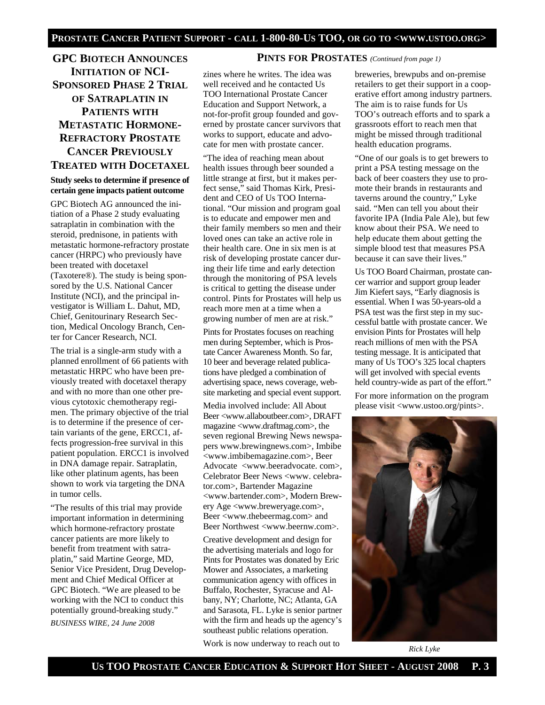# **GPC BIOTECH ANNOUNCES INITIATION OF NCI-SPONSORED PHASE 2 TRIAL OF SATRAPLATIN IN PATIENTS WITH METASTATIC HORMONE-REFRACTORY PROSTATE CANCER PREVIOUSLY TREATED WITH DOCETAXEL**

#### **Study seeks to determine if presence of certain gene impacts patient outcome**

GPC Biotech AG announced the initiation of a Phase 2 study evaluating satraplatin in combination with the steroid, prednisone, in patients with metastatic hormone-refractory prostate cancer (HRPC) who previously have been treated with docetaxel (Taxotere®). The study is being sponsored by the U.S. National Cancer Institute (NCI), and the principal investigator is William L. Dahut, MD, Chief, Genitourinary Research Section, Medical Oncology Branch, Center for Cancer Research, NCI.

The trial is a single-arm study with a planned enrollment of 66 patients with metastatic HRPC who have been previously treated with docetaxel therapy and with no more than one other previous cytotoxic chemotherapy regimen. The primary objective of the trial is to determine if the presence of certain variants of the gene, ERCC1, affects progression-free survival in this patient population. ERCC1 is involved in DNA damage repair. Satraplatin, like other platinum agents, has been shown to work via targeting the DNA in tumor cells.

"The results of this trial may provide important information in determining which hormone-refractory prostate cancer patients are more likely to benefit from treatment with satraplatin," said Martine George, MD, Senior Vice President, Drug Development and Chief Medical Officer at GPC Biotech. "We are pleased to be working with the NCI to conduct this potentially ground-breaking study." *BUSINESS WIRE, 24 June 2008* 

#### **PINTS FOR PROSTATES** *(Continued from page 1)*

zines where he writes. The idea was well received and he contacted Us TOO International Prostate Cancer Education and Support Network, a not-for-profit group founded and governed by prostate cancer survivors that works to support, educate and advocate for men with prostate cancer.

"The idea of reaching mean about health issues through beer sounded a little strange at first, but it makes perfect sense," said Thomas Kirk, President and CEO of Us TOO International. "Our mission and program goal is to educate and empower men and their family members so men and their loved ones can take an active role in their health care. One in six men is at risk of developing prostate cancer during their life time and early detection through the monitoring of PSA levels is critical to getting the disease under control. Pints for Prostates will help us reach more men at a time when a growing number of men are at risk."

Pints for Prostates focuses on reaching men during September, which is Prostate Cancer Awareness Month. So far, 10 beer and beverage related publications have pledged a combination of advertising space, news coverage, website marketing and special event support.

Media involved include: All About Beer <www.allaboutbeer.com>, DRAFT magazine <www.draftmag.com>, the seven regional Brewing News newspapers www.brewingnews.com>, Imbibe <www.imbibemagazine.com>, Beer Advocate <www.beeradvocate. com>, Celebrator Beer News <www. celebrator.com>, Bartender Magazine <www.bartender.com>, Modern Brewery Age <www.breweryage.com>, Beer <www.thebeermag.com> and Beer Northwest <www.beernw.com>.

Creative development and design for the advertising materials and logo for Pints for Prostates was donated by Eric Mower and Associates, a marketing communication agency with offices in Buffalo, Rochester, Syracuse and Albany, NY; Charlotte, NC; Atlanta, GA and Sarasota, FL. Lyke is senior partner with the firm and heads up the agency's southeast public relations operation.

Work is now underway to reach out to

breweries, brewpubs and on-premise retailers to get their support in a cooperative effort among industry partners. The aim is to raise funds for Us TOO's outreach efforts and to spark a grassroots effort to reach men that might be missed through traditional health education programs.

"One of our goals is to get brewers to print a PSA testing message on the back of beer coasters they use to promote their brands in restaurants and taverns around the country," Lyke said. "Men can tell you about their favorite IPA (India Pale Ale), but few know about their PSA. We need to help educate them about getting the simple blood test that measures PSA because it can save their lives."

Us TOO Board Chairman, prostate cancer warrior and support group leader Jim Kiefert says, "Early diagnosis is essential. When I was 50-years-old a PSA test was the first step in my successful battle with prostate cancer. We envision Pints for Prostates will help reach millions of men with the PSA testing message. It is anticipated that many of Us TOO's 325 local chapters will get involved with special events held country-wide as part of the effort."

For more information on the program please visit <www.ustoo.org/pints>.



*Rick Lyke*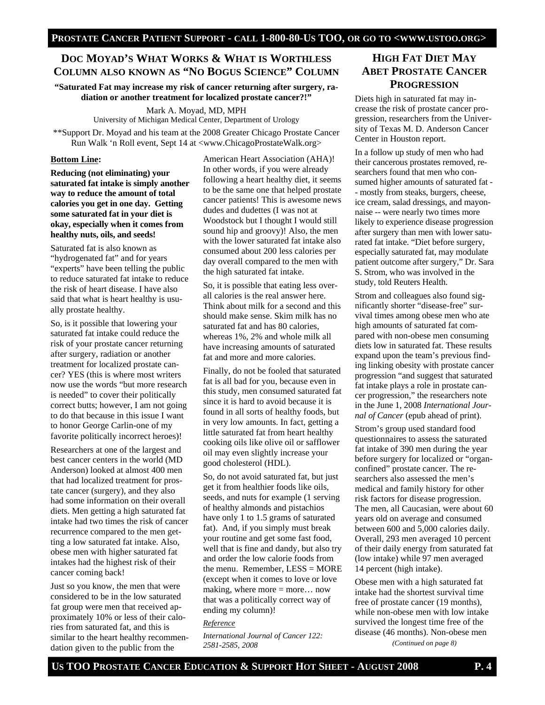## **DOC MOYAD'S WHAT WORKS & WHAT IS WORTHLESS COLUMN ALSO KNOWN AS "NO BOGUS SCIENCE" COLUMN**

**"Saturated Fat may increase my risk of cancer returning after surgery, radiation or another treatment for localized prostate cancer?!"** 

> Mark A. Moyad, MD, MPH University of Michigan Medical Center, Department of Urology

\*\*Support Dr. Moyad and his team at the 2008 Greater Chicago Prostate Cancer Run Walk 'n Roll event, Sept 14 at <www.ChicagoProstateWalk.org>

#### **Bottom Line:**

**Reducing (not eliminating) your saturated fat intake is simply another way to reduce the amount of total calories you get in one day. Getting some saturated fat in your diet is okay, especially when it comes from healthy nuts, oils, and seeds!** 

Saturated fat is also known as "hydrogenated fat" and for years "experts" have been telling the public to reduce saturated fat intake to reduce the risk of heart disease. I have also said that what is heart healthy is usually prostate healthy.

So, is it possible that lowering your saturated fat intake could reduce the risk of your prostate cancer returning after surgery, radiation or another treatment for localized prostate cancer? YES (this is where most writers now use the words "but more research is needed" to cover their politically correct butts; however, I am not going to do that because in this issue I want to honor George Carlin-one of my favorite politically incorrect heroes)!

Researchers at one of the largest and best cancer centers in the world (MD Anderson) looked at almost 400 men that had localized treatment for prostate cancer (surgery), and they also had some information on their overall diets. Men getting a high saturated fat intake had two times the risk of cancer recurrence compared to the men getting a low saturated fat intake. Also, obese men with higher saturated fat intakes had the highest risk of their cancer coming back!

Just so you know, the men that were considered to be in the low saturated fat group were men that received approximately 10% or less of their calories from saturated fat, and this is similar to the heart healthy recommendation given to the public from the

American Heart Association (AHA)! In other words, if you were already following a heart healthy diet, it seems to be the same one that helped prostate cancer patients! This is awesome news dudes and dudettes (I was not at Woodstock but I thought I would still sound hip and groovy)! Also, the men with the lower saturated fat intake also consumed about 200 less calories per day overall compared to the men with the high saturated fat intake.

So, it is possible that eating less overall calories is the real answer here. Think about milk for a second and this should make sense. Skim milk has no saturated fat and has 80 calories, whereas 1%, 2% and whole milk all have increasing amounts of saturated fat and more and more calories.

Finally, do not be fooled that saturated fat is all bad for you, because even in this study, men consumed saturated fat since it is hard to avoid because it is found in all sorts of healthy foods, but in very low amounts. In fact, getting a little saturated fat from heart healthy cooking oils like olive oil or safflower oil may even slightly increase your good cholesterol (HDL).

So, do not avoid saturated fat, but just get it from healthier foods like oils, seeds, and nuts for example (1 serving of healthy almonds and pistachios have only 1 to 1.5 grams of saturated fat). And, if you simply must break your routine and get some fast food, well that is fine and dandy, but also try and order the low calorie foods from the menu. Remember, LESS = MORE (except when it comes to love or love making, where more  $=$  more... now that was a politically correct way of ending my column)!

#### *Reference*

*International Journal of Cancer 122: 2581-2585, 2008* 

## **HIGH FAT DIET MAY ABET PROSTATE CANCER PROGRESSION**

Diets high in saturated fat may increase the risk of prostate cancer progression, researchers from the University of Texas M. D. Anderson Cancer Center in Houston report.

In a follow up study of men who had their cancerous prostates removed, researchers found that men who consumed higher amounts of saturated fat - - mostly from steaks, burgers, cheese, ice cream, salad dressings, and mayonnaise -- were nearly two times more likely to experience disease progression after surgery than men with lower saturated fat intake. "Diet before surgery, especially saturated fat, may modulate patient outcome after surgery," Dr. Sara S. Strom, who was involved in the study, told Reuters Health.

Strom and colleagues also found significantly shorter "disease-free" survival times among obese men who ate high amounts of saturated fat compared with non-obese men consuming diets low in saturated fat. These results expand upon the team's previous finding linking obesity with prostate cancer progression "and suggest that saturated fat intake plays a role in prostate cancer progression," the researchers note in the June 1, 2008 *International Journal of Cancer* (epub ahead of print).

Strom's group used standard food questionnaires to assess the saturated fat intake of 390 men during the year before surgery for localized or "organconfined" prostate cancer. The researchers also assessed the men's medical and family history for other risk factors for disease progression. The men, all Caucasian, were about 60 years old on average and consumed between 600 and 5,000 calories daily. Overall, 293 men averaged 10 percent of their daily energy from saturated fat (low intake) while 97 men averaged 14 percent (high intake).

Obese men with a high saturated fat intake had the shortest survival time free of prostate cancer (19 months), while non-obese men with low intake survived the longest time free of the disease (46 months). Non-obese men

*(Continued on page 8)*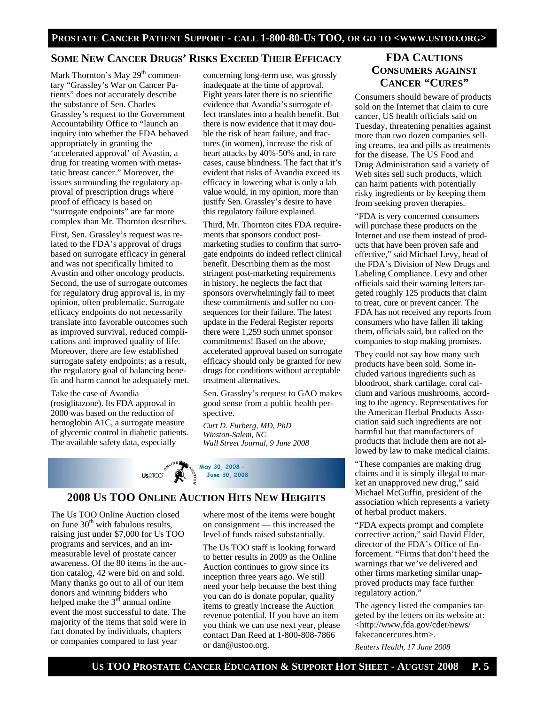## **SOME NEW CANCER DRUGS' RISKS EXCEED THEIR EFFICACY**

Mark Thornton's May 29<sup>th</sup> commentary "Grassley's War on Cancer Patients" does not accurately describe the substance of Sen. Charles Grassley's request to the Government Accountability Office to "launch an inquiry into whether the FDA behaved appropriately in granting the 'accelerated approval' of Avastin, a drug for treating women with metastatic breast cancer." Moreover, the issues surrounding the regulatory approval of prescription drugs where proof of efficacy is based on "surrogate endpoints" are far more complex than Mr. Thornton describes.

First, Sen. Grassley's request was related to the FDA's approval of drugs based on surrogate efficacy in general and was not specifically limited to Avastin and other oncology products. Second, the use of surrogate outcomes for regulatory drug approval is, in my opinion, often problematic. Surrogate efficacy endpoints do not necessarily translate into favorable outcomes such as improved survival, reduced complications and improved quality of life. Moreover, there are few established surrogate safety endpoints; as a result, the regulatory goal of balancing benefit and harm cannot be adequately met.

Take the case of Avandia (rosiglitazone). Its FDA approval in 2000 was based on the reduction of hemoglobin A1C, a surrogate measure of glycemic control in diabetic patients. The available safety data, especially

concerning long-term use, was grossly inadequate at the time of approval. Eight years later there is no scientific evidence that Avandia's surrogate effect translates into a health benefit. But there is now evidence that it may double the risk of heart failure, and fractures (in women), increase the risk of heart attacks by 40%-50% and, in rare cases, cause blindness. The fact that it's evident that risks of Avandia exceed its efficacy in lowering what is only a lab value would, in my opinion, more than justify Sen. Grassley's desire to have this regulatory failure explained.

Third, Mr. Thornton cites FDA requirements that sponsors conduct postmarketing studies to confirm that surrogate endpoints do indeed reflect clinical benefit. Describing them as the most stringent post-marketing requirements in history, he neglects the fact that sponsors overwhelmingly fail to meet these commitments and suffer no consequences for their failure. The latest update in the Federal Register reports there were 1,259 such unmet sponsor commitments! Based on the above, accelerated approval based on surrogate efficacy should only be granted for new drugs for conditions without acceptable treatment alternatives.

Sen. Grassley's request to GAO makes good sense from a public health perspective.

*Curt D. Furberg, MD, PhD Winston-Salem, NC Wall Street Journal, 9 June 2008* 



## **2008 US TOO ONLINE AUCTION HITS NEW HEIGHTS**

The Us TOO Online Auction closed on June  $30<sup>th</sup>$  with fabulous results, raising just under \$7,000 for Us TOO programs and services, and an immeasurable level of prostate cancer awareness. Of the 80 items in the auction catalog, 42 were bid on and sold. Many thanks go out to all of our item donors and winning bidders who helped make the  $3<sup>rd</sup>$  annual online event the most successful to date. The majority of the items that sold were in fact donated by individuals, chapters or companies compared to last year

where most of the items were bought on consignment — this increased the level of funds raised substantially.

The Us TOO staff is looking forward to better results in 2009 as the Online Auction continues to grow since its inception three years ago. We still need your help because the best thing you can do is donate popular, quality items to greatly increase the Auction revenue potential. If you have an item you think we can use next year, please contact Dan Reed at 1-800-808-7866 or dan@ustoo.org.

## **FDA CAUTIONS CONSUMERS AGAINST CANCER "CURES"**

Consumers should beware of products sold on the Internet that claim to cure cancer, US health officials said on Tuesday, threatening penalties against more than two dozen companies selling creams, tea and pills as treatments for the disease. The US Food and Drug Administration said a variety of Web sites sell such products, which can harm patients with potentially risky ingredients or by keeping them from seeking proven therapies.

"FDA is very concerned consumers will purchase these products on the Internet and use them instead of products that have been proven safe and effective," said Michael Levy, head of the FDA's Division of New Drugs and Labeling Compliance. Levy and other officials said their warning letters targeted roughly 125 products that claim to treat, cure or prevent cancer. The FDA has not received any reports from consumers who have fallen ill taking them, officials said, but called on the companies to stop making promises.

They could not say how many such products have been sold. Some included various ingredients such as bloodroot, shark cartilage, coral calcium and various mushrooms, according to the agency. Representatives for the American Herbal Products Association said such ingredients are not harmful but that manufacturers of products that include them are not allowed by law to make medical claims.

"These companies are making drug claims and it is simply illegal to market an unapproved new drug," said Michael McGuffin, president of the association which represents a variety of herbal product makers.

"FDA expects prompt and complete corrective action," said David Elder, director of the FDA's Office of Enforcement. "Firms that don't heed the warnings that we've delivered and other firms marketing similar unapproved products may face further regulatory action."

The agency listed the companies targeted by the letters on its website at: <http://www.fda.gov/cder/news/ fakecancercures.htm>.

*Reuters Health, 17 June 2008*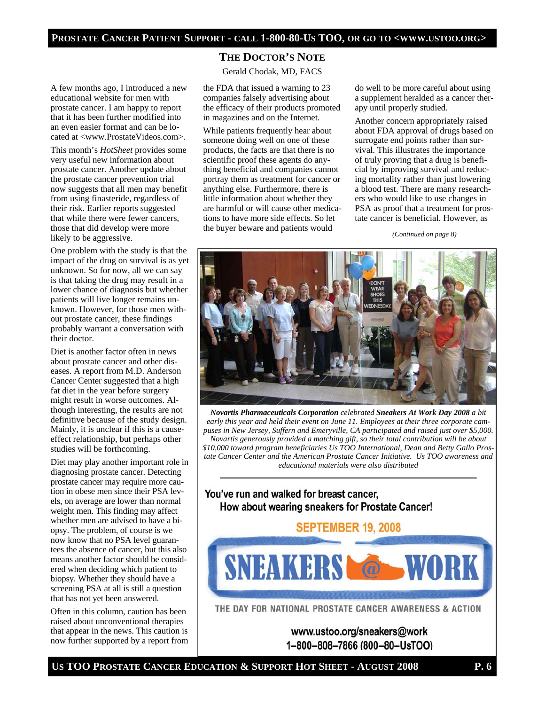A few months ago, I introduced a new educational website for men with prostate cancer. I am happy to report that it has been further modified into an even easier format and can be located at <www.ProstateVideos.com>.

This month's *HotSheet* provides some very useful new information about prostate cancer. Another update about the prostate cancer prevention trial now suggests that all men may benefit from using finasteride, regardless of their risk. Earlier reports suggested that while there were fewer cancers, those that did develop were more likely to be aggressive.

One problem with the study is that the impact of the drug on survival is as yet unknown. So for now, all we can say is that taking the drug may result in a lower chance of diagnosis but whether patients will live longer remains unknown. However, for those men without prostate cancer, these findings probably warrant a conversation with their doctor.

Diet is another factor often in news about prostate cancer and other diseases. A report from M.D. Anderson Cancer Center suggested that a high fat diet in the year before surgery might result in worse outcomes. Although interesting, the results are not definitive because of the study design. Mainly, it is unclear if this is a causeeffect relationship, but perhaps other studies will be forthcoming.

Diet may play another important role in diagnosing prostate cancer. Detecting prostate cancer may require more caution in obese men since their PSA levels, on average are lower than normal weight men. This finding may affect whether men are advised to have a biopsy. The problem, of course is we now know that no PSA level guarantees the absence of cancer, but this also means another factor should be considered when deciding which patient to biopsy. Whether they should have a screening PSA at all is still a question that has not yet been answered.

Often in this column, caution has been raised about unconventional therapies that appear in the news. This caution is now further supported by a report from

### **THE DOCTOR'S NOTE**

Gerald Chodak, MD, FACS

the FDA that issued a warning to 23 companies falsely advertising about the efficacy of their products promoted in magazines and on the Internet.

While patients frequently hear about someone doing well on one of these products, the facts are that there is no scientific proof these agents do anything beneficial and companies cannot portray them as treatment for cancer or anything else. Furthermore, there is little information about whether they are harmful or will cause other medications to have more side effects. So let the buyer beware and patients would

do well to be more careful about using a supplement heralded as a cancer therapy until properly studied.

Another concern appropriately raised about FDA approval of drugs based on surrogate end points rather than survival. This illustrates the importance of truly proving that a drug is beneficial by improving survival and reducing mortality rather than just lowering a blood test. There are many researchers who would like to use changes in PSA as proof that a treatment for prostate cancer is beneficial. However, as

*(Continued on page 8)* 



*Novartis Pharmaceuticals Corporation celebrated Sneakers At Work Day 2008 a bit early this year and held their event on June 11. Employees at their three corporate campuses in New Jersey, Suffern and Emeryville, CA participated and raised just over \$5,000. Novartis generously provided a matching gift, so their total contribution will be about \$10,000 toward program beneficiaries Us TOO International, Dean and Betty Gallo Prostate Cancer Center and the American Prostate Cancer Initiative. Us TOO awareness and educational materials were also distributed* 

You've run and walked for breast cancer. How about wearing sneakers for Prostate Cancer!

## **SEPTEMBER 19, 2008**



THE DAY FOR NATIONAL PROSTATE CANCER AWARENESS & ACTION

www.ustoo.org/sneakers@work 1-800-808-7866 (800-80-UsTOO)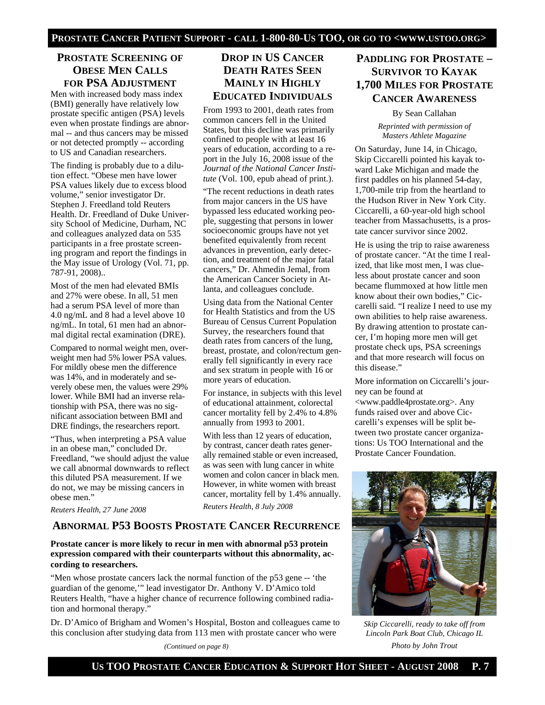## **PROSTATE SCREENING OF OBESE MEN CALLS FOR PSA ADJUSTMENT**

Men with increased body mass index (BMI) generally have relatively low prostate specific antigen (PSA) levels even when prostate findings are abnormal -- and thus cancers may be missed or not detected promptly -- according to US and Canadian researchers.

The finding is probably due to a dilution effect. "Obese men have lower PSA values likely due to excess blood volume," senior investigator Dr. Stephen J. Freedland told Reuters Health. Dr. Freedland of Duke University School of Medicine, Durham, NC and colleagues analyzed data on 535 participants in a free prostate screening program and report the findings in the May issue of Urology (Vol. 71, pp. 787-91, 2008)..

Most of the men had elevated BMIs and 27% were obese. In all, 51 men had a serum PSA level of more than 4.0 ng/mL and 8 had a level above 10 ng/mL. In total, 61 men had an abnormal digital rectal examination (DRE).

Compared to normal weight men, overweight men had 5% lower PSA values. For mildly obese men the difference was 14%, and in moderately and severely obese men, the values were 29% lower. While BMI had an inverse relationship with PSA, there was no significant association between BMI and DRE findings, the researchers report.

"Thus, when interpreting a PSA value in an obese man," concluded Dr. Freedland, "we should adjust the value we call abnormal downwards to reflect this diluted PSA measurement. If we do not, we may be missing cancers in obese men."

*Reuters Health, 27 June 2008* 

## **DROP IN US CANCER DEATH RATES SEEN MAINLY IN HIGHLY EDUCATED INDIVIDUALS**

From 1993 to 2001, death rates from common cancers fell in the United States, but this decline was primarily confined to people with at least 16 years of education, according to a report in the July 16, 2008 issue of the *Journal of the National Cancer Institute* (Vol. 100, epub ahead of print.).

"The recent reductions in death rates from major cancers in the US have bypassed less educated working people, suggesting that persons in lower socioeconomic groups have not yet benefited equivalently from recent advances in prevention, early detection, and treatment of the major fatal cancers," Dr. Ahmedin Jemal, from the American Cancer Society in Atlanta, and colleagues conclude.

Using data from the National Center for Health Statistics and from the US Bureau of Census Current Population Survey, the researchers found that death rates from cancers of the lung, breast, prostate, and colon/rectum generally fell significantly in every race and sex stratum in people with 16 or more years of education.

For instance, in subjects with this level of educational attainment, colorectal cancer mortality fell by 2.4% to 4.8% annually from 1993 to 2001.

With less than 12 years of education, by contrast, cancer death rates generally remained stable or even increased, as was seen with lung cancer in white women and colon cancer in black men. However, in white women with breast cancer, mortality fell by 1.4% annually. *Reuters Health, 8 July 2008* 

## **ABNORMAL P53 BOOSTS PROSTATE CANCER RECURRENCE**

#### **Prostate cancer is more likely to recur in men with abnormal p53 protein expression compared with their counterparts without this abnormality, according to researchers.**

"Men whose prostate cancers lack the normal function of the p53 gene -- 'the guardian of the genome,'" lead investigator Dr. Anthony V. D'Amico told Reuters Health, "have a higher chance of recurrence following combined radiation and hormonal therapy."

Dr. D'Amico of Brigham and Women's Hospital, Boston and colleagues came to this conclusion after studying data from 113 men with prostate cancer who were

*(Continued on page 8)* 

# **PADDLING FOR PROSTATE – SURVIVOR TO KAYAK 1,700 MILES FOR PROSTATE CANCER AWARENESS**

By Sean Callahan

*Reprinted with permission of Masters Athlete Magazine* 

On Saturday, June 14, in Chicago, Skip Ciccarelli pointed his kayak toward Lake Michigan and made the first paddles on his planned 54-day, 1,700-mile trip from the heartland to the Hudson River in New York City. Ciccarelli, a 60-year-old high school teacher from Massachusetts, is a prostate cancer survivor since 2002.

He is using the trip to raise awareness of prostate cancer. "At the time I realized, that like most men, I was clueless about prostate cancer and soon became flummoxed at how little men know about their own bodies," Ciccarelli said. "I realize I need to use my own abilities to help raise awareness. By drawing attention to prostate cancer, I'm hoping more men will get prostate check ups, PSA screenings and that more research will focus on this disease."

More information on Ciccarelli's journey can be found at <www.paddle4prostate.org>. Any funds raised over and above Ciccarelli's expenses will be split between two prostate cancer organizations: Us TOO International and the Prostate Cancer Foundation.



*Skip Ciccarelli, ready to take off from Lincoln Park Boat Club, Chicago IL Photo by John Trout*